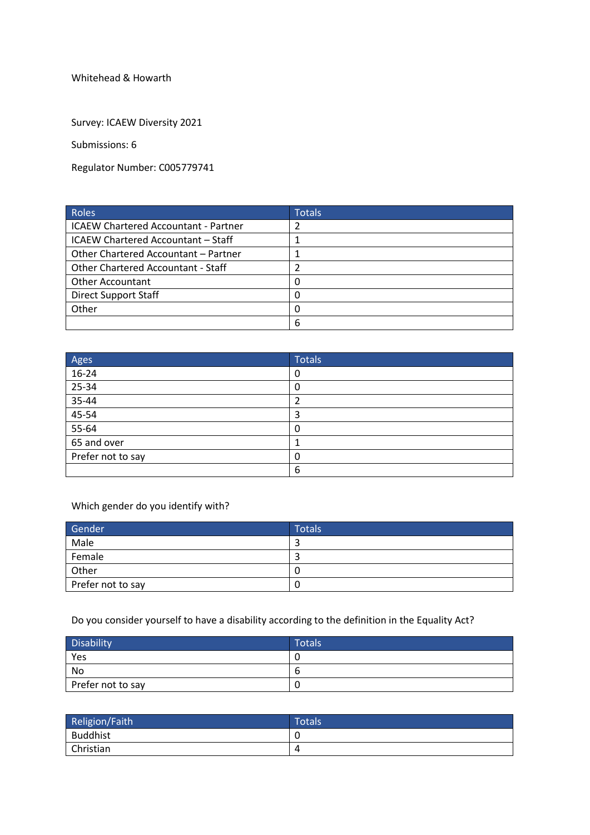Whitehead & Howarth

Survey: ICAEW Diversity 2021

Submissions: 6

Regulator Number: C005779741

| Roles                                       | <b>Totals</b> |
|---------------------------------------------|---------------|
| <b>ICAEW Chartered Accountant - Partner</b> | 2             |
| ICAEW Chartered Accountant - Staff          |               |
| Other Chartered Accountant - Partner        |               |
| <b>Other Chartered Accountant - Staff</b>   |               |
| <b>Other Accountant</b>                     | $\Omega$      |
| <b>Direct Support Staff</b>                 | 0             |
| Other                                       | 0             |
|                                             | 6             |

| Ages              | <b>Totals</b> |
|-------------------|---------------|
| $16-24$           | 0             |
| 25-34             | 0             |
| $35 - 44$         |               |
| 45-54             | 3             |
| $55 - 64$         | 0             |
| 65 and over       |               |
| Prefer not to say | 0             |
|                   | 6             |

Which gender do you identify with?

| Gender            | <b>Totals</b> |
|-------------------|---------------|
| Male              |               |
| Female            |               |
| Other             |               |
| Prefer not to say | U             |

Do you consider yourself to have a disability according to the definition in the Equality Act?

| <b>Disability</b> | <b>Totals</b> |
|-------------------|---------------|
| Yes               | U             |
| No                | O             |
| Prefer not to say | υ.            |

| Religion/Faith  | <b>Totals</b> |
|-----------------|---------------|
| <b>Buddhist</b> | C             |
| Christian       | 4             |